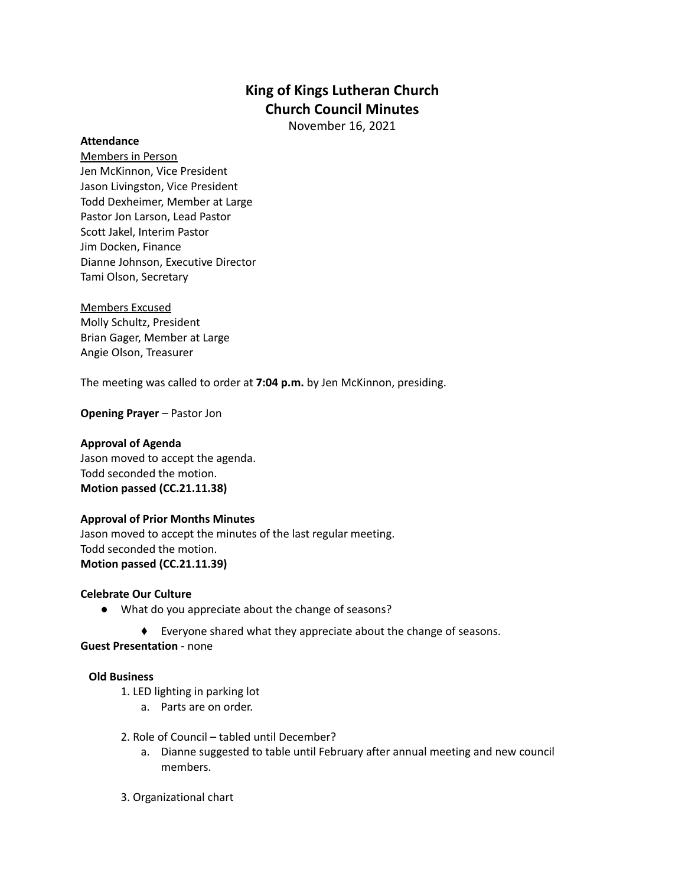# **King of Kings Lutheran Church Church Council Minutes**

November 16, 2021

### **Attendance**

Members in Person Jen McKinnon, Vice President Jason Livingston, Vice President Todd Dexheimer, Member at Large Pastor Jon Larson, Lead Pastor Scott Jakel, Interim Pastor Jim Docken, Finance Dianne Johnson, Executive Director Tami Olson, Secretary

Members Excused Molly Schultz, President Brian Gager, Member at Large Angie Olson, Treasurer

The meeting was called to order at **7:04 p.m.** by Jen McKinnon, presiding.

**Opening Prayer** – Pastor Jon

### **Approval of Agenda**

Jason moved to accept the agenda. Todd seconded the motion. **Motion passed (CC.21.11.38)**

### **Approval of Prior Months Minutes**

Jason moved to accept the minutes of the last regular meeting. Todd seconded the motion. **Motion passed (CC.21.11.39)**

### **Celebrate Our Culture**

- What do you appreciate about the change of seasons?
	- ⬧ Everyone shared what they appreciate about the change of seasons.

**Guest Presentation** - none

### **Old Business**

- 1. LED lighting in parking lot
	- a. Parts are on order.
- 2. Role of Council tabled until December?
	- a. Dianne suggested to table until February after annual meeting and new council members.
- 3. Organizational chart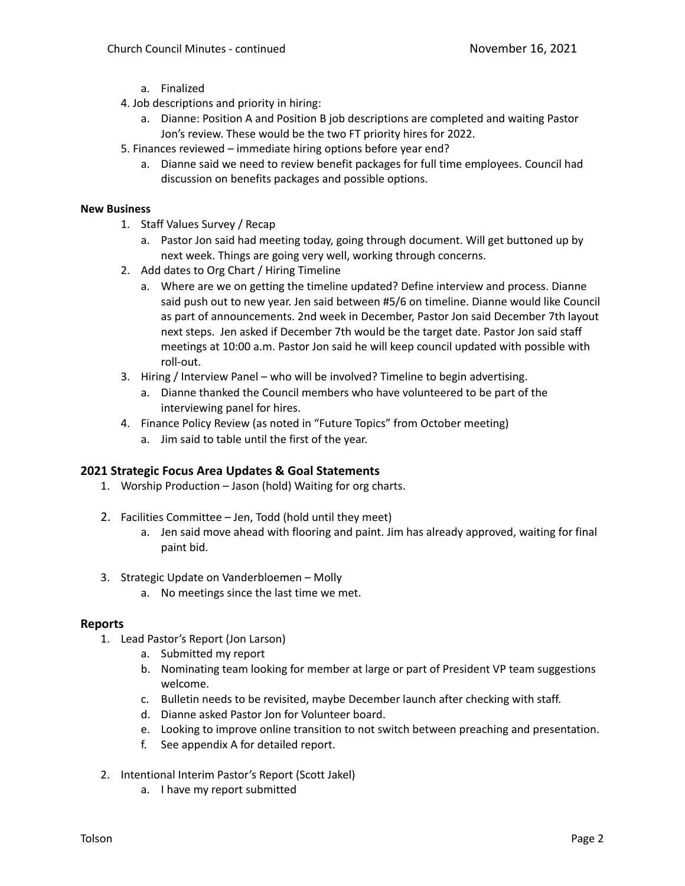- a. Finalized
- 4. Job descriptions and priority in hiring:
	- a. Dianne: Position A and Position B job descriptions are completed and waiting Pastor Jon's review. These would be the two FT priority hires for 2022.
- 5. Finances reviewed immediate hiring options before year end?
	- a. Dianne said we need to review benefit packages for full time employees. Council had discussion on benefits packages and possible options.

## **New Business**

- 1. Staff Values Survey / Recap
	- a. Pastor Jon said had meeting today, going through document. Will get buttoned up by next week. Things are going very well, working through concerns.
- 2. Add dates to Org Chart / Hiring Timeline
	- a. Where are we on getting the timeline updated? Define interview and process. Dianne said push out to new year. Jen said between #5/6 on timeline. Dianne would like Council as part of announcements. 2nd week in December, Pastor Jon said December 7th layout next steps. Jen asked if December 7th would be the target date. Pastor Jon said staff meetings at 10:00 a.m. Pastor Jon said he will keep council updated with possible with roll-out.
- 3. Hiring / Interview Panel who will be involved? Timeline to begin advertising.
	- a. Dianne thanked the Council members who have volunteered to be part of the interviewing panel for hires.
- 4. Finance Policy Review (as noted in "Future Topics" from October meeting)
	- a. Jim said to table until the first of the year.

# **2021 Strategic Focus Area Updates & Goal Statements**

- 1. Worship Production Jason (hold) Waiting for org charts.
- 2. Facilities Committee Jen, Todd (hold until they meet)
	- a. Jen said move ahead with flooring and paint. Jim has already approved, waiting for final paint bid.
- 3. Strategic Update on Vanderbloemen Molly
	- a. No meetings since the last time we met.

# **Reports**

- 1. Lead Pastor's Report (Jon Larson)
	- a. Submitted my report
	- b. Nominating team looking for member at large or part of President VP team suggestions welcome.
	- c. Bulletin needs to be revisited, maybe December launch after checking with staff.
	- d. Dianne asked Pastor Jon for Volunteer board.
	- e. Looking to improve online transition to not switch between preaching and presentation.
	- f. See appendix A for detailed report.
- 2. Intentional Interim Pastor's Report (Scott Jakel)
	- a. I have my report submitted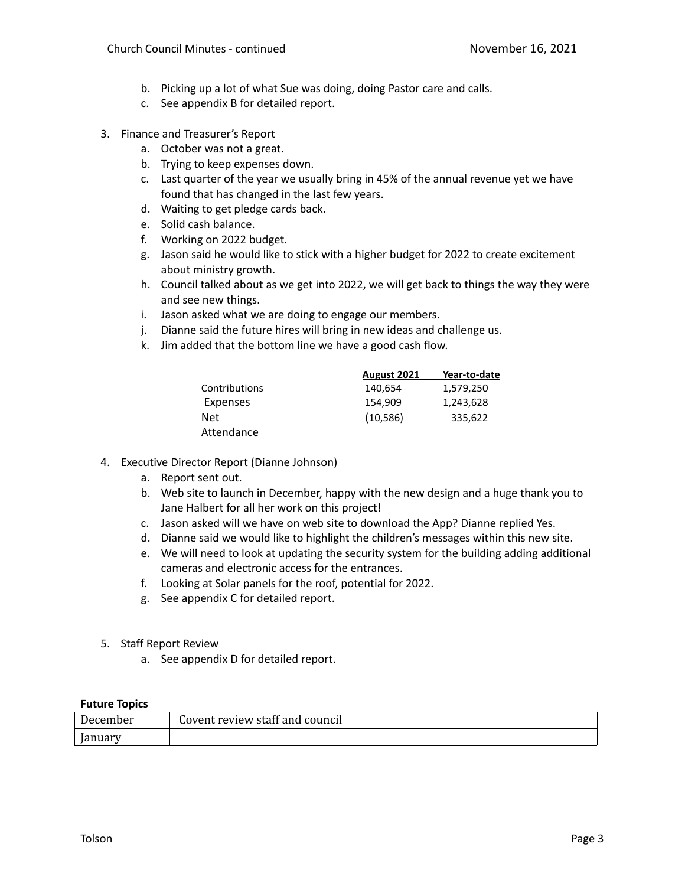- b. Picking up a lot of what Sue was doing, doing Pastor care and calls.
- c. See appendix B for detailed report.
- 3. Finance and Treasurer's Report
	- a. October was not a great.
	- b. Trying to keep expenses down.
	- c. Last quarter of the year we usually bring in 45% of the annual revenue yet we have found that has changed in the last few years.
	- d. Waiting to get pledge cards back.
	- e. Solid cash balance.
	- f. Working on 2022 budget.
	- g. Jason said he would like to stick with a higher budget for 2022 to create excitement about ministry growth.
	- h. Council talked about as we get into 2022, we will get back to things the way they were and see new things.
	- i. Jason asked what we are doing to engage our members.
	- j. Dianne said the future hires will bring in new ideas and challenge us.
	- k. Jim added that the bottom line we have a good cash flow.

|               | August 2021 | Year-to-date |
|---------------|-------------|--------------|
| Contributions | 140,654     | 1,579,250    |
| Expenses      | 154.909     | 1,243,628    |
| Net           | (10,586)    | 335.622      |
| Attendance    |             |              |

- 4. Executive Director Report (Dianne Johnson)
	- a. Report sent out.
	- b. Web site to launch in December, happy with the new design and a huge thank you to Jane Halbert for all her work on this project!
	- c. Jason asked will we have on web site to download the App? Dianne replied Yes.
	- d. Dianne said we would like to highlight the children's messages within this new site.
	- e. We will need to look at updating the security system for the building adding additional cameras and electronic access for the entrances.
	- f. Looking at Solar panels for the roof, potential for 2022.
	- g. See appendix C for detailed report.
- 5. Staff Report Review
	- a. See appendix D for detailed report.

## **Future Topics**

| ----------<br>------- |                                 |
|-----------------------|---------------------------------|
| December              | Covent review staff and council |
| anuary.               |                                 |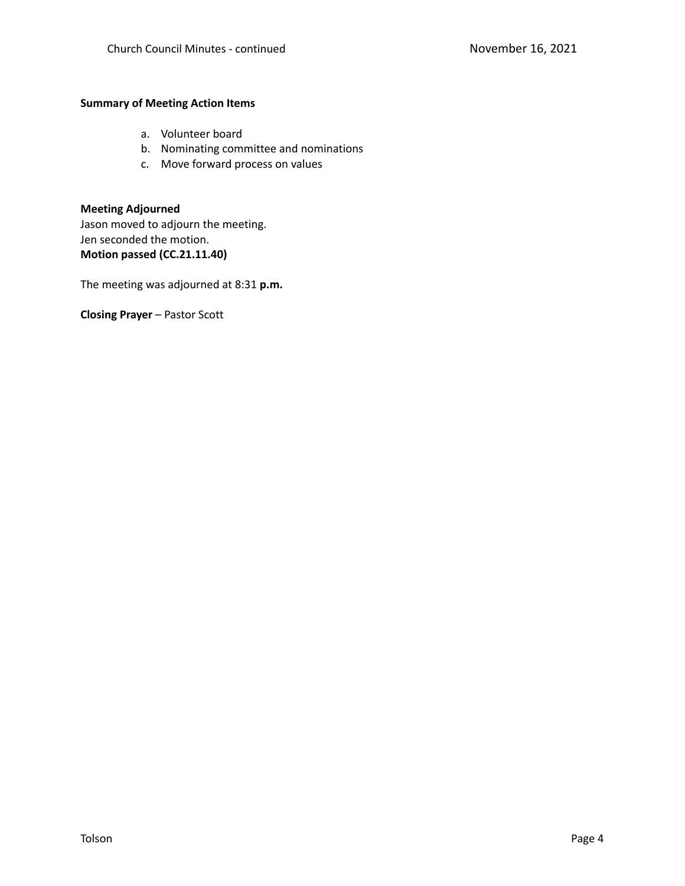#### **Summary of Meeting Action Items**

- a. Volunteer board
- b. Nominating committee and nominations
- c. Move forward process on values

**Meeting Adjourned** Jason moved to adjourn the meeting. Jen seconded the motion. **Motion passed (CC.21.11.40)**

The meeting was adjourned at 8:31 **p.m.**

**Closing Prayer** – Pastor Scott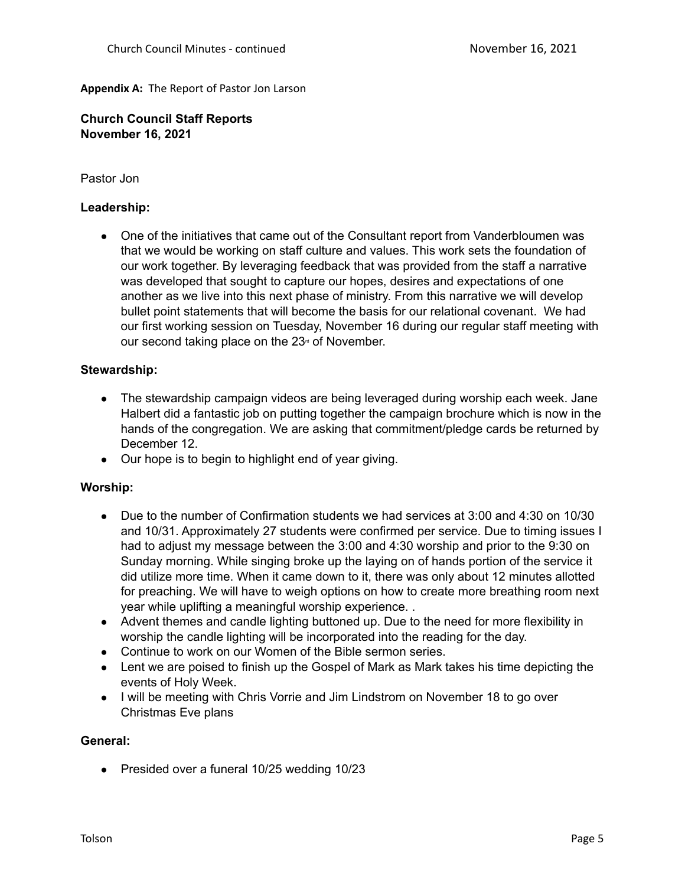## **Appendix A:** The Report of Pastor Jon Larson

**Church Council Staff Reports November 16, 2021**

# Pastor Jon

## **Leadership:**

• One of the initiatives that came out of the Consultant report from Vanderbloumen was that we would be working on staff culture and values. This work sets the foundation of our work together. By leveraging feedback that was provided from the staff a narrative was developed that sought to capture our hopes, desires and expectations of one another as we live into this next phase of ministry. From this narrative we will develop bullet point statements that will become the basis for our relational covenant. We had our first working session on Tuesday, November 16 during our regular staff meeting with our second taking place on the  $23<sup>d</sup>$  of November.

## **Stewardship:**

- The stewardship campaign videos are being leveraged during worship each week. Jane Halbert did a fantastic job on putting together the campaign brochure which is now in the hands of the congregation. We are asking that commitment/pledge cards be returned by December 12.
- Our hope is to begin to highlight end of year giving.

# **Worship:**

- Due to the number of Confirmation students we had services at 3:00 and 4:30 on 10/30 and 10/31. Approximately 27 students were confirmed per service. Due to timing issues I had to adjust my message between the 3:00 and 4:30 worship and prior to the 9:30 on Sunday morning. While singing broke up the laying on of hands portion of the service it did utilize more time. When it came down to it, there was only about 12 minutes allotted for preaching. We will have to weigh options on how to create more breathing room next year while uplifting a meaningful worship experience. .
- Advent themes and candle lighting buttoned up. Due to the need for more flexibility in worship the candle lighting will be incorporated into the reading for the day.
- Continue to work on our Women of the Bible sermon series.
- Lent we are poised to finish up the Gospel of Mark as Mark takes his time depicting the events of Holy Week.
- I will be meeting with Chris Vorrie and Jim Lindstrom on November 18 to go over Christmas Eve plans

### **General:**

● Presided over a funeral 10/25 wedding 10/23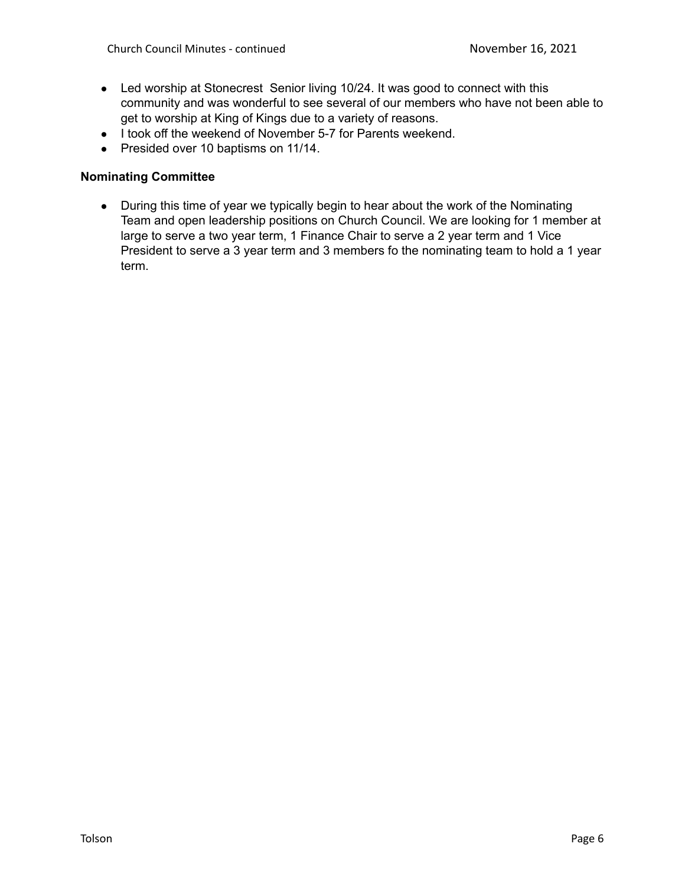- Led worship at Stonecrest Senior living 10/24. It was good to connect with this community and was wonderful to see several of our members who have not been able to get to worship at King of Kings due to a variety of reasons.
- I took off the weekend of November 5-7 for Parents weekend.
- Presided over 10 baptisms on 11/14.

# **Nominating Committee**

• During this time of year we typically begin to hear about the work of the Nominating Team and open leadership positions on Church Council. We are looking for 1 member at large to serve a two year term, 1 Finance Chair to serve a 2 year term and 1 Vice President to serve a 3 year term and 3 members fo the nominating team to hold a 1 year term.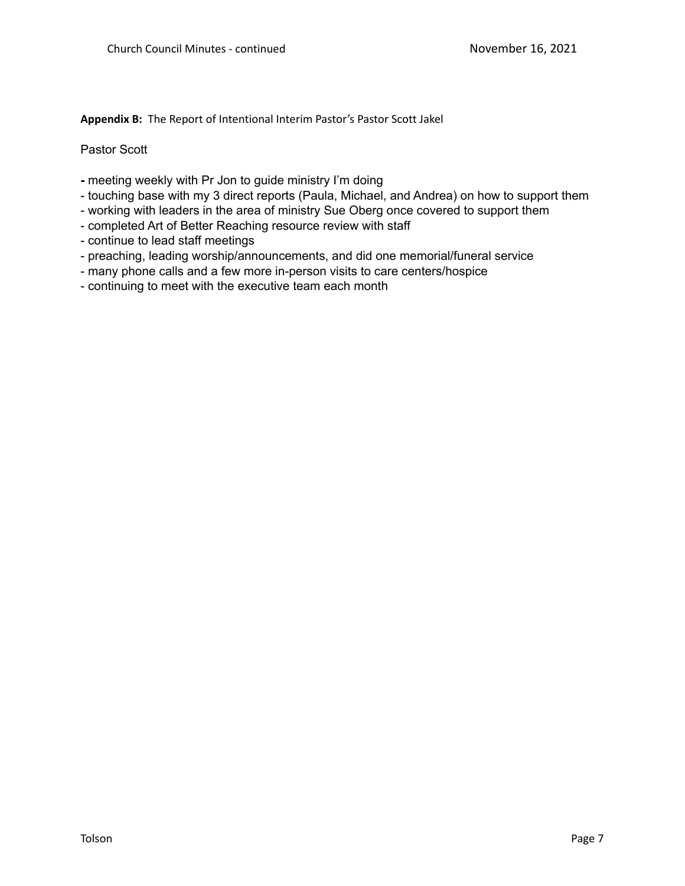**Appendix B:** The Report of Intentional Interim Pastor's Pastor Scott Jakel

Pastor Scott

- **-** meeting weekly with Pr Jon to guide ministry I'm doing
- touching base with my 3 direct reports (Paula, Michael, and Andrea) on how to support them
- working with leaders in the area of ministry Sue Oberg once covered to support them
- completed Art of Better Reaching resource review with staff
- continue to lead staff meetings
- preaching, leading worship/announcements, and did one memorial/funeral service
- many phone calls and a few more in-person visits to care centers/hospice
- continuing to meet with the executive team each month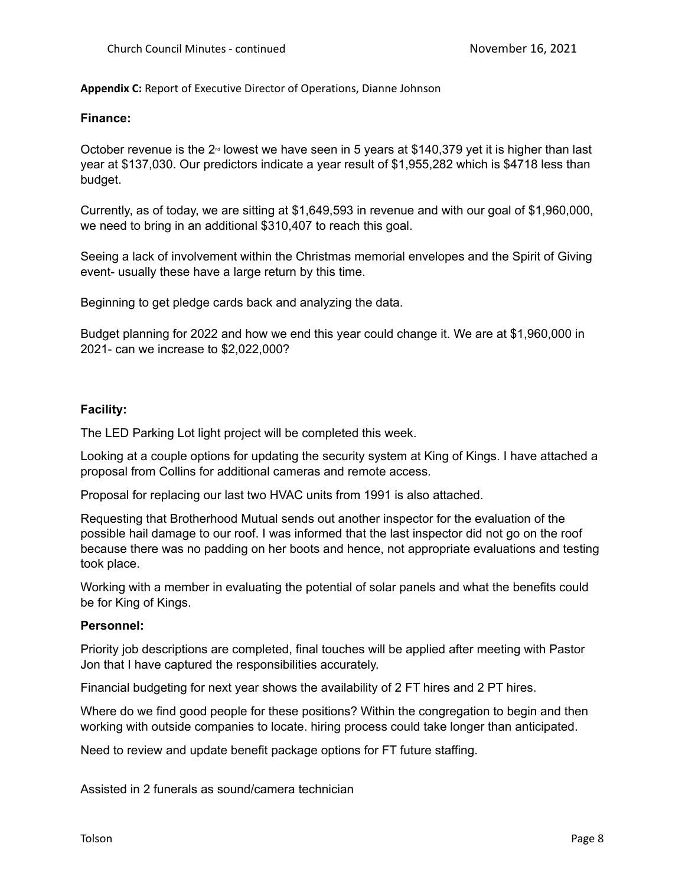**Appendix C:** Report of Executive Director of Operations, Dianne Johnson

## **Finance:**

October revenue is the  $2^{\omega}$  lowest we have seen in 5 years at \$140,379 yet it is higher than last year at \$137,030. Our predictors indicate a year result of \$1,955,282 which is \$4718 less than budget.

Currently, as of today, we are sitting at \$1,649,593 in revenue and with our goal of \$1,960,000, we need to bring in an additional \$310,407 to reach this goal.

Seeing a lack of involvement within the Christmas memorial envelopes and the Spirit of Giving event- usually these have a large return by this time.

Beginning to get pledge cards back and analyzing the data.

Budget planning for 2022 and how we end this year could change it. We are at \$1,960,000 in 2021- can we increase to \$2,022,000?

# **Facility:**

The LED Parking Lot light project will be completed this week.

Looking at a couple options for updating the security system at King of Kings. I have attached a proposal from Collins for additional cameras and remote access.

Proposal for replacing our last two HVAC units from 1991 is also attached.

Requesting that Brotherhood Mutual sends out another inspector for the evaluation of the possible hail damage to our roof. I was informed that the last inspector did not go on the roof because there was no padding on her boots and hence, not appropriate evaluations and testing took place.

Working with a member in evaluating the potential of solar panels and what the benefits could be for King of Kings.

# **Personnel:**

Priority job descriptions are completed, final touches will be applied after meeting with Pastor Jon that I have captured the responsibilities accurately.

Financial budgeting for next year shows the availability of 2 FT hires and 2 PT hires.

Where do we find good people for these positions? Within the congregation to begin and then working with outside companies to locate. hiring process could take longer than anticipated.

Need to review and update benefit package options for FT future staffing.

Assisted in 2 funerals as sound/camera technician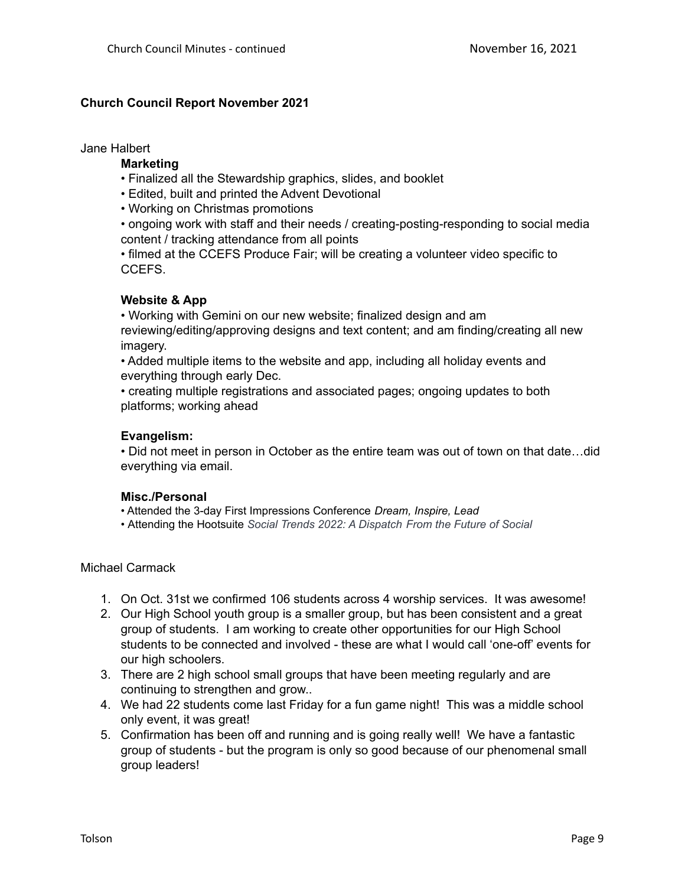# **Church Council Report November 2021**

Jane Halbert

## **Marketing**

- Finalized all the Stewardship graphics, slides, and booklet
- Edited, built and printed the Advent Devotional
- Working on Christmas promotions

• ongoing work with staff and their needs / creating-posting-responding to social media content / tracking attendance from all points

• filmed at the CCEFS Produce Fair; will be creating a volunteer video specific to CCEFS.

# **Website & App**

• Working with Gemini on our new website; finalized design and am reviewing/editing/approving designs and text content; and am finding/creating all new imagery.

• Added multiple items to the website and app, including all holiday events and everything through early Dec.

• creating multiple registrations and associated pages; ongoing updates to both platforms; working ahead

# **Evangelism:**

• Did not meet in person in October as the entire team was out of town on that date…did everything via email.

# **Misc./Personal**

• Attended the 3-day First Impressions Conference *Dream, Inspire, Lead*

*•* Attending the Hootsuite *Social Trends 2022: A Dispatch From the Future of Social*

### Michael Carmack

- 1. On Oct. 31st we confirmed 106 students across 4 worship services. It was awesome!
- 2. Our High School youth group is a smaller group, but has been consistent and a great group of students. I am working to create other opportunities for our High School students to be connected and involved - these are what I would call 'one-off' events for our high schoolers.
- 3. There are 2 high school small groups that have been meeting regularly and are continuing to strengthen and grow..
- 4. We had 22 students come last Friday for a fun game night! This was a middle school only event, it was great!
- 5. Confirmation has been off and running and is going really well! We have a fantastic group of students - but the program is only so good because of our phenomenal small group leaders!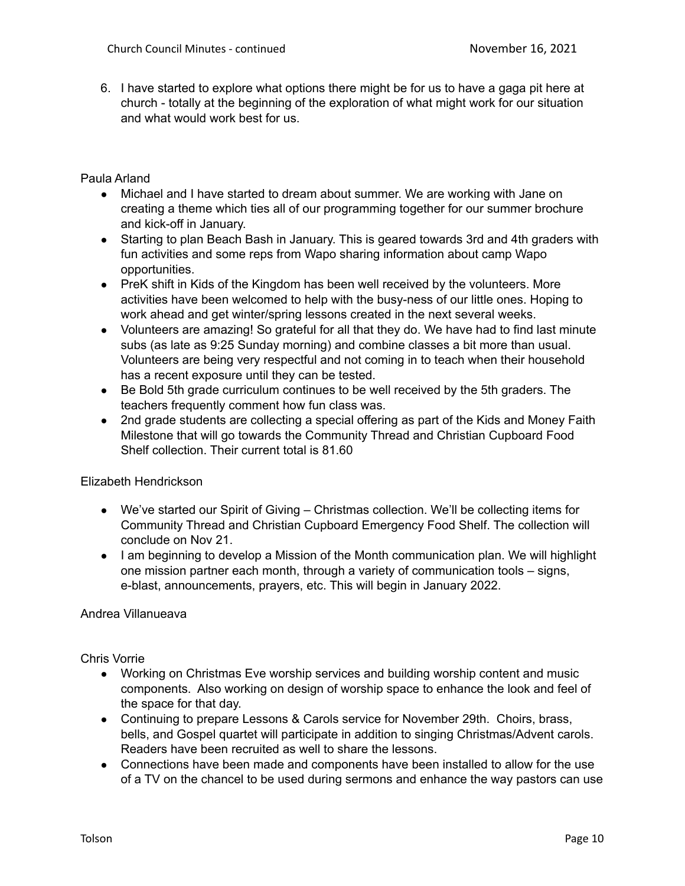6. I have started to explore what options there might be for us to have a gaga pit here at church - totally at the beginning of the exploration of what might work for our situation and what would work best for us.

Paula Arland

- Michael and I have started to dream about summer. We are working with Jane on creating a theme which ties all of our programming together for our summer brochure and kick-off in January.
- Starting to plan Beach Bash in January. This is geared towards 3rd and 4th graders with fun activities and some reps from Wapo sharing information about camp Wapo opportunities.
- PreK shift in Kids of the Kingdom has been well received by the volunteers. More activities have been welcomed to help with the busy-ness of our little ones. Hoping to work ahead and get winter/spring lessons created in the next several weeks.
- Volunteers are amazing! So grateful for all that they do. We have had to find last minute subs (as late as 9:25 Sunday morning) and combine classes a bit more than usual. Volunteers are being very respectful and not coming in to teach when their household has a recent exposure until they can be tested.
- Be Bold 5th grade curriculum continues to be well received by the 5th graders. The teachers frequently comment how fun class was.
- 2nd grade students are collecting a special offering as part of the Kids and Money Faith Milestone that will go towards the Community Thread and Christian Cupboard Food Shelf collection. Their current total is 81.60

Elizabeth Hendrickson

- We've started our Spirit of Giving Christmas collection. We'll be collecting items for Community Thread and Christian Cupboard Emergency Food Shelf. The collection will conclude on Nov 21.
- I am beginning to develop a Mission of the Month communication plan. We will highlight one mission partner each month, through a variety of communication tools – signs, e-blast, announcements, prayers, etc. This will begin in January 2022.

Andrea Villanueava

Chris Vorrie

- Working on Christmas Eve worship services and building worship content and music components. Also working on design of worship space to enhance the look and feel of the space for that day.
- Continuing to prepare Lessons & Carols service for November 29th. Choirs, brass, bells, and Gospel quartet will participate in addition to singing Christmas/Advent carols. Readers have been recruited as well to share the lessons.
- Connections have been made and components have been installed to allow for the use of a TV on the chancel to be used during sermons and enhance the way pastors can use